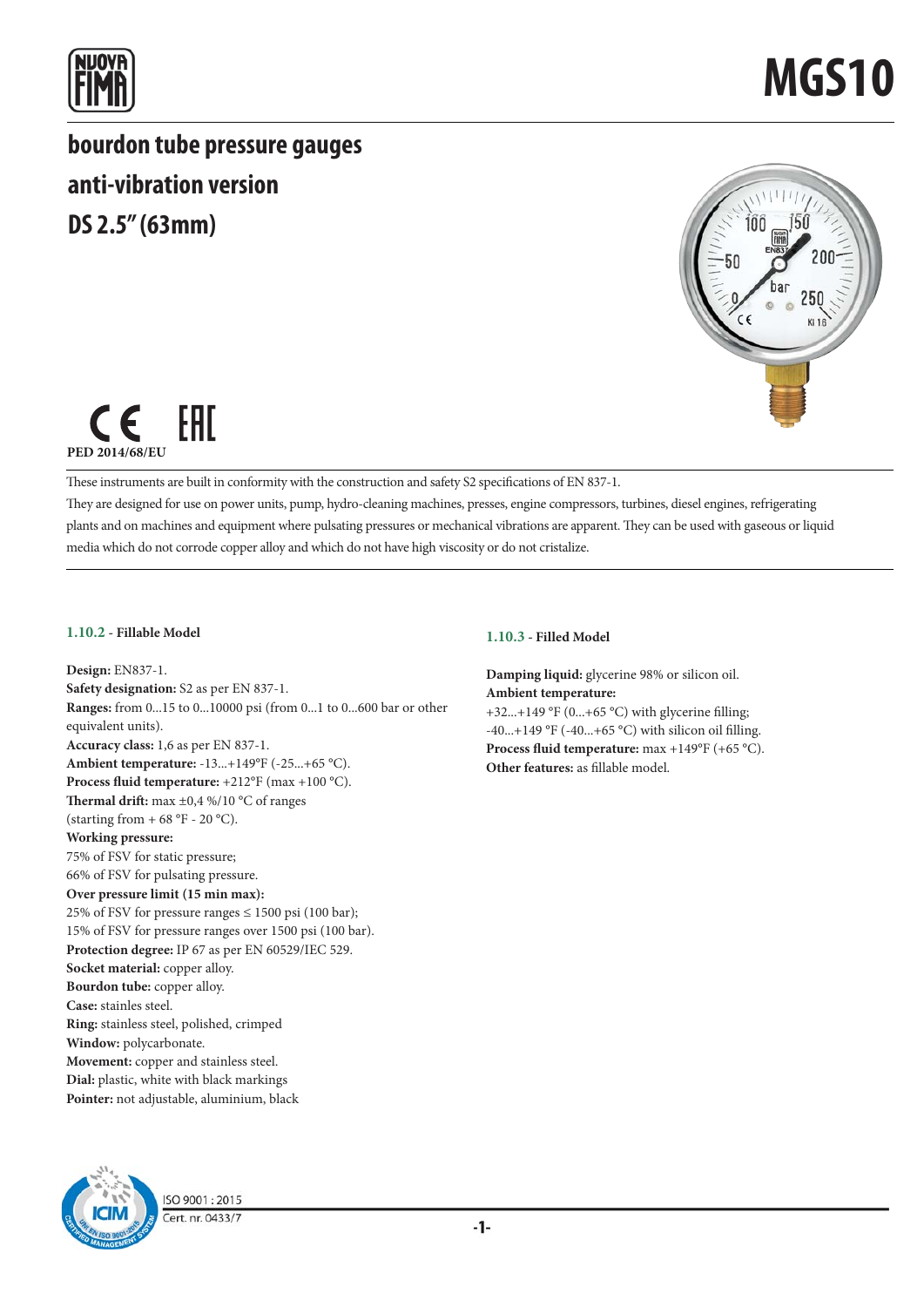

**bourdon tube pressure gauges anti-vibration version DS 2.5" (63mm)**





These instruments are built in conformity with the construction and safety S2 specifications of EN 837-1.

They are designed for use on power units, pump, hydro-cleaning machines, presses, engine compressors, turbines, diesel engines, refrigerating plants and on machines and equipment where pulsating pressures or mechanical vibrations are apparent. They can be used with gaseous or liquid media which do not corrode copper alloy and which do not have high viscosity or do not cristalize.

### **1.10.2 - Fillable Model**

**Design:** EN837-1. **Safety designation:** S2 as per EN 837-1. **Ranges:** from 0...15 to 0...10000 psi (from 0...1 to 0...600 bar or other equivalent units). **Accuracy class:** 1,6 as per EN 837-1. **Ambient temperature:** -13...+149°F (-25...+65 °C). **Process fluid temperature:** +212°F (max +100 °C). Thermal drift: max  $\pm$ 0,4 %/10 °C of ranges (starting from  $+ 68 \text{ °F}$  - 20 °C). **Working pressure:** 75% of FSV for static pressure; 66% of FSV for pulsating pressure. **Over pressure limit (15 min max):** 25% of FSV for pressure ranges  $\leq$  1500 psi (100 bar); 15% of FSV for pressure ranges over 1500 psi (100 bar). **Protection degree:** IP 67 as per EN 60529/IEC 529. **Socket material:** copper alloy. **Bourdon tube:** copper alloy. **Case:** stainles steel. **Ring:** stainless steel, polished, crimped **Window:** polycarbonate. **Movement:** copper and stainless steel. **Dial:** plastic, white with black markings **Pointer:** not adjustable, aluminium, black

### **1.10.3 - Filled Model**

**Damping liquid:** glycerine 98% or silicon oil. **Ambient temperature:** +32...+149 °F (0...+65 °C) with glycerine filling;  $-40...+149$  °F ( $-40...+65$  °C) with silicon oil filling. **Process fluid temperature:** max +149°F (+65 °C). **Other features:** as fillable model.



ISO 9001:2015 Cert. nr. 0433/7